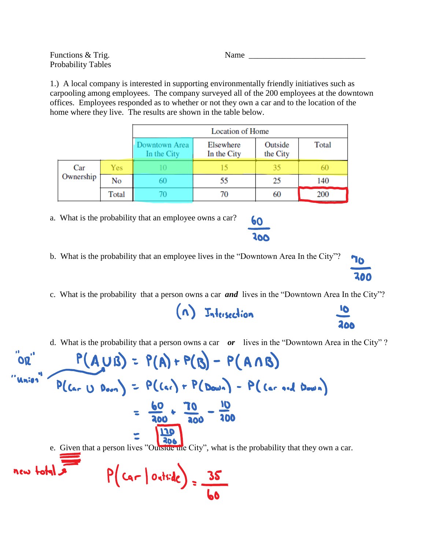Functions & Trig. Name Probability Tables

1.) A local company is interested in supporting environmentally friendly initiatives such as carpooling among employees. The company surveyed all of the 200 employees at the downtown offices. Employees responded as to whether or not they own a car and to the location of the home where they live. The results are shown in the table below.

|                  |       | Location of Home             |                          |                     |       |  |
|------------------|-------|------------------------------|--------------------------|---------------------|-------|--|
|                  |       | Downtown Area<br>In the City | Elsewhere<br>In the City | Outside<br>the City | Total |  |
| Car<br>Ownership | Yes   |                              | 15                       | 35                  | 60    |  |
|                  | No    | 60                           | 55                       | 25                  | 140   |  |
|                  | Total |                              | 70                       | 60                  | 200   |  |

a. What is the probability that an employee owns a car?

- b. What is the probability that an employee lives in the "Downtown Area In the City"?
- c. What is the probability that a person owns a car *and* lives in the "Downtown Area In the City"?

(n) Intersection

d. What is the probability that a person owns a car *or* lives in the "Downtown Area in the City" ?

 $P(A \cup B) = P(A) + P(B) - P(A \cap B)$  $P(C_{ar} \cup D_{con}) = P(C_{ar}) + P(D_{com}) - P(C_{ar} \cdot id)$  $=\frac{60}{300}+\frac{70}{300}-\frac{10}{100}$  $\overline{\mathbf{120}}$ 206 e. Given that a person lives "Outside the City", what is the probability that they own a car.  $P(\text{car} | \text{outside}) = \frac{35}{10}$ new total